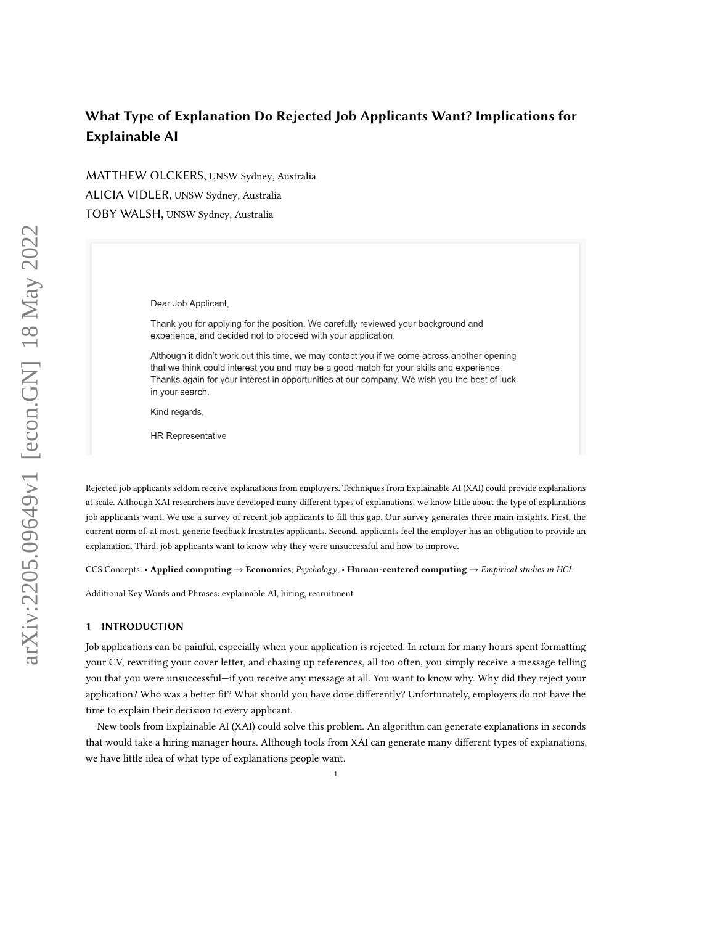MATTHEW OLCKERS, UNSW Sydney, Australia ALICIA VIDLER, UNSW Sydney, Australia TOBY WALSH, UNSW Sydney, Australia

Dear Job Applicant,

Thank you for applying for the position. We carefully reviewed your background and experience, and decided not to proceed with your application.

Although it didn't work out this time, we may contact you if we come across another opening that we think could interest you and may be a good match for your skills and experience. Thanks again for your interest in opportunities at our company. We wish you the best of luck in your search.

Kind regards,

**HR Representative** 

Rejected job applicants seldom receive explanations from employers. Techniques from Explainable AI (XAI) could provide explanations at scale. Although XAI researchers have developed many different types of explanations, we know little about the type of explanations job applicants want. We use a survey of recent job applicants to fill this gap. Our survey generates three main insights. First, the current norm of, at most, generic feedback frustrates applicants. Second, applicants feel the employer has an obligation to provide an explanation. Third, job applicants want to know why they were unsuccessful and how to improve.

CCS Concepts: • Applied computing → Economics; Psychology; • Human-centered computing → Empirical studies in HCI.

Additional Key Words and Phrases: explainable AI, hiring, recruitment

#### 1 INTRODUCTION

Job applications can be painful, especially when your application is rejected. In return for many hours spent formatting your CV, rewriting your cover letter, and chasing up references, all too often, you simply receive a message telling you that you were unsuccessful—if you receive any message at all. You want to know why. Why did they reject your application? Who was a better fit? What should you have done differently? Unfortunately, employers do not have the time to explain their decision to every applicant.

New tools from Explainable AI (XAI) could solve this problem. An algorithm can generate explanations in seconds that would take a hiring manager hours. Although tools from XAI can generate many different types of explanations, we have little idea of what type of explanations people want.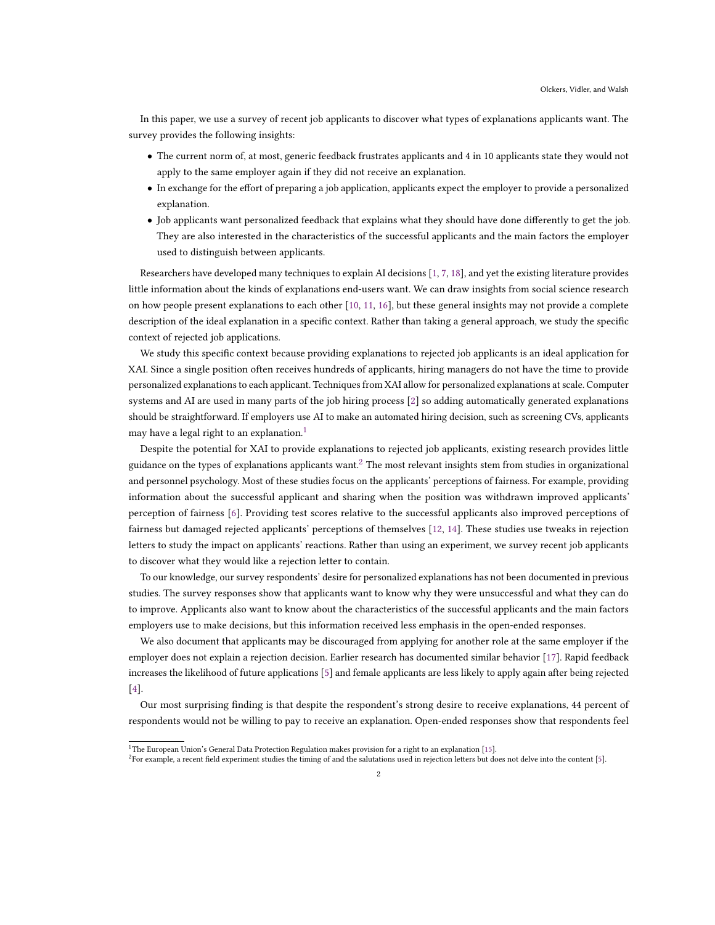In this paper, we use a survey of recent job applicants to discover what types of explanations applicants want. The survey provides the following insights:

- The current norm of, at most, generic feedback frustrates applicants and 4 in 10 applicants state they would not apply to the same employer again if they did not receive an explanation.
- In exchange for the effort of preparing a job application, applicants expect the employer to provide a personalized explanation.
- Job applicants want personalized feedback that explains what they should have done differently to get the job. They are also interested in the characteristics of the successful applicants and the main factors the employer used to distinguish between applicants.

Researchers have developed many techniques to explain AI decisions [\[1,](#page-8-0) [7,](#page-8-1) [18\]](#page-9-0), and yet the existing literature provides little information about the kinds of explanations end-users want. We can draw insights from social science research on how people present explanations to each other [\[10,](#page-8-2) [11,](#page-8-3) [16\]](#page-8-4), but these general insights may not provide a complete description of the ideal explanation in a specific context. Rather than taking a general approach, we study the specific context of rejected job applications.

We study this specific context because providing explanations to rejected job applicants is an ideal application for XAI. Since a single position often receives hundreds of applicants, hiring managers do not have the time to provide personalized explanations to each applicant. Techniques from XAI allow for personalized explanations at scale. Computer systems and AI are used in many parts of the job hiring process [\[2\]](#page-8-5) so adding automatically generated explanations should be straightforward. If employers use AI to make an automated hiring decision, such as screening CVs, applicants may have a legal right to an explanation.<sup>[1](#page-1-0)</sup>

Despite the potential for XAI to provide explanations to rejected job applicants, existing research provides little guidance on the types of explanations applicants want.<sup>[2](#page-1-1)</sup> The most relevant insights stem from studies in organizational and personnel psychology. Most of these studies focus on the applicants' perceptions of fairness. For example, providing information about the successful applicant and sharing when the position was withdrawn improved applicants' perception of fairness [\[6\]](#page-8-6). Providing test scores relative to the successful applicants also improved perceptions of fairness but damaged rejected applicants' perceptions of themselves [\[12,](#page-8-7) [14\]](#page-8-8). These studies use tweaks in rejection letters to study the impact on applicants' reactions. Rather than using an experiment, we survey recent job applicants to discover what they would like a rejection letter to contain.

To our knowledge, our survey respondents' desire for personalized explanations has not been documented in previous studies. The survey responses show that applicants want to know why they were unsuccessful and what they can do to improve. Applicants also want to know about the characteristics of the successful applicants and the main factors employers use to make decisions, but this information received less emphasis in the open-ended responses.

We also document that applicants may be discouraged from applying for another role at the same employer if the employer does not explain a rejection decision. Earlier research has documented similar behavior [\[17\]](#page-9-1). Rapid feedback increases the likelihood of future applications [\[5\]](#page-8-9) and female applicants are less likely to apply again after being rejected [\[4\]](#page-8-10).

Our most surprising finding is that despite the respondent's strong desire to receive explanations, 44 percent of respondents would not be willing to pay to receive an explanation. Open-ended responses show that respondents feel

<span id="page-1-0"></span><sup>&</sup>lt;sup>1</sup>The European Union's General Data Protection Regulation makes provision for a right to an explanation [\[15\]](#page-8-11).

<span id="page-1-1"></span> $^2$ For example, a recent field experiment studies the timing of and the salutations used in rejection letters but does not delve into the content [\[5\]](#page-8-9).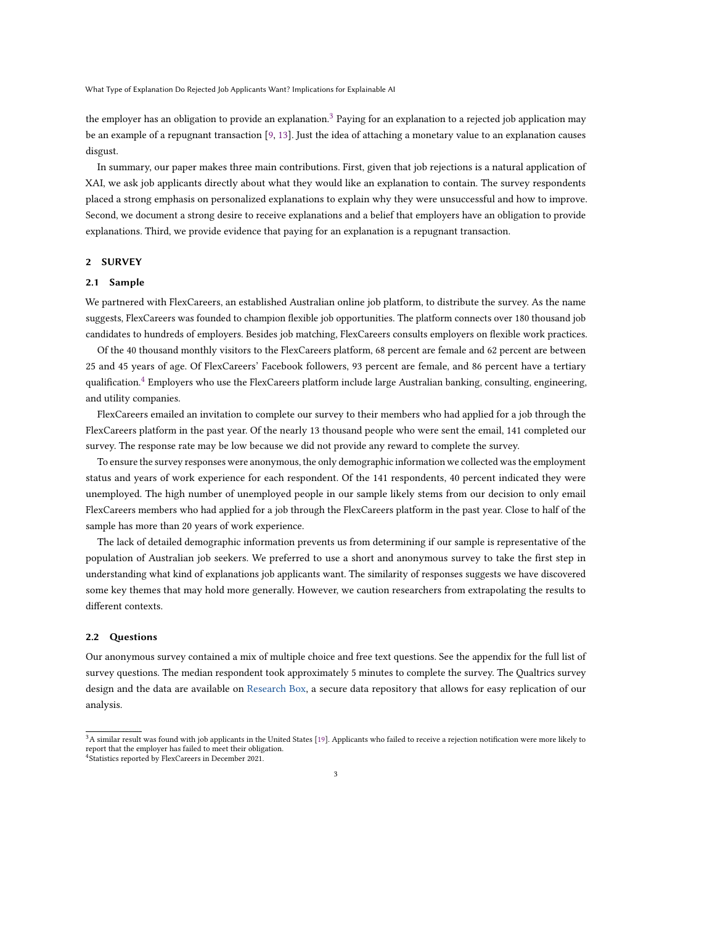the employer has an obligation to provide an explanation.<sup>[3](#page-2-0)</sup> Paying for an explanation to a rejected job application may be an example of a repugnant transaction [\[9,](#page-8-12) [13\]](#page-8-13). Just the idea of attaching a monetary value to an explanation causes disgust.

In summary, our paper makes three main contributions. First, given that job rejections is a natural application of XAI, we ask job applicants directly about what they would like an explanation to contain. The survey respondents placed a strong emphasis on personalized explanations to explain why they were unsuccessful and how to improve. Second, we document a strong desire to receive explanations and a belief that employers have an obligation to provide explanations. Third, we provide evidence that paying for an explanation is a repugnant transaction.

# 2 SURVEY

#### 2.1 Sample

We partnered with FlexCareers, an established Australian online job platform, to distribute the survey. As the name suggests, FlexCareers was founded to champion flexible job opportunities. The platform connects over 180 thousand job candidates to hundreds of employers. Besides job matching, FlexCareers consults employers on flexible work practices.

Of the 40 thousand monthly visitors to the FlexCareers platform, 68 percent are female and 62 percent are between 25 and 45 years of age. Of FlexCareers' Facebook followers, 93 percent are female, and 86 percent have a tertiary qualification.<sup>[4](#page-2-1)</sup> Employers who use the FlexCareers platform include large Australian banking, consulting, engineering, and utility companies.

FlexCareers emailed an invitation to complete our survey to their members who had applied for a job through the FlexCareers platform in the past year. Of the nearly 13 thousand people who were sent the email, 141 completed our survey. The response rate may be low because we did not provide any reward to complete the survey.

To ensure the survey responses were anonymous, the only demographic information we collected was the employment status and years of work experience for each respondent. Of the 141 respondents, 40 percent indicated they were unemployed. The high number of unemployed people in our sample likely stems from our decision to only email FlexCareers members who had applied for a job through the FlexCareers platform in the past year. Close to half of the sample has more than 20 years of work experience.

The lack of detailed demographic information prevents us from determining if our sample is representative of the population of Australian job seekers. We preferred to use a short and anonymous survey to take the first step in understanding what kind of explanations job applicants want. The similarity of responses suggests we have discovered some key themes that may hold more generally. However, we caution researchers from extrapolating the results to different contexts.

#### 2.2 Questions

Our anonymous survey contained a mix of multiple choice and free text questions. See the appendix for the full list of survey questions. The median respondent took approximately 5 minutes to complete the survey. The Qualtrics survey design and the data are available on [Research Box,](https://researchbox.org/) a secure data repository that allows for easy replication of our analysis.

<span id="page-2-1"></span><span id="page-2-0"></span> $3A$  similar result was found with job applicants in the United States [\[19\]](#page-9-2). Applicants who failed to receive a rejection notification were more likely to report that the employer has failed to meet their obligation. 4 Statistics reported by FlexCareers in December 2021.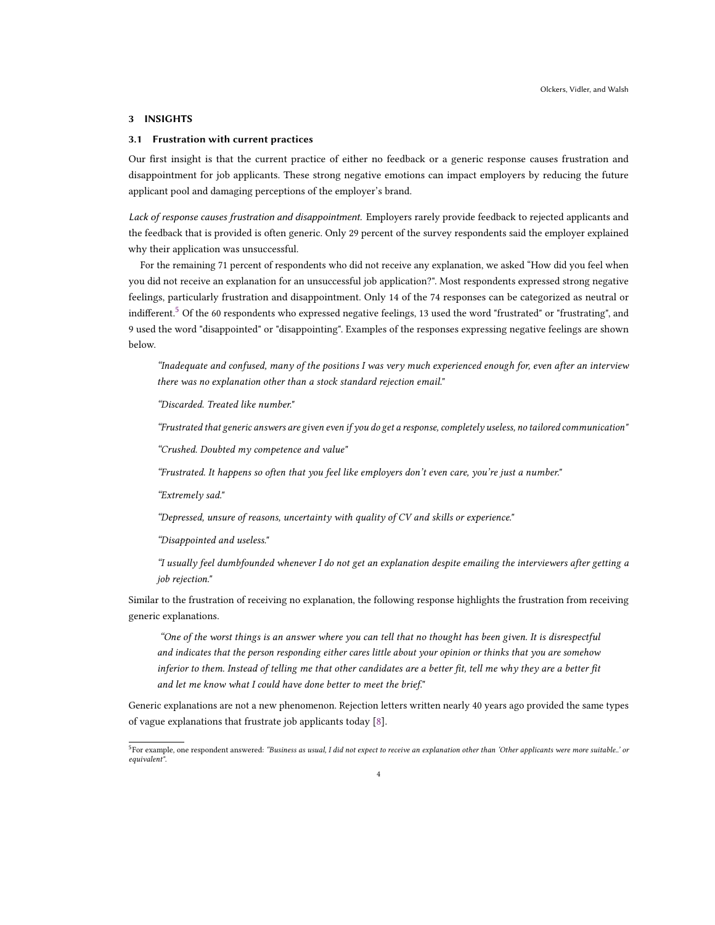# 3 INSIGHTS

# 3.1 Frustration with current practices

Our first insight is that the current practice of either no feedback or a generic response causes frustration and disappointment for job applicants. These strong negative emotions can impact employers by reducing the future applicant pool and damaging perceptions of the employer's brand.

Lack of response causes frustration and disappointment. Employers rarely provide feedback to rejected applicants and the feedback that is provided is often generic. Only 29 percent of the survey respondents said the employer explained why their application was unsuccessful.

For the remaining 71 percent of respondents who did not receive any explanation, we asked "How did you feel when you did not receive an explanation for an unsuccessful job application?". Most respondents expressed strong negative feelings, particularly frustration and disappointment. Only 14 of the 74 responses can be categorized as neutral or indifferent.<sup>[5](#page-3-0)</sup> Of the 60 respondents who expressed negative feelings, 13 used the word "frustrated" or "frustrating", and 9 used the word "disappointed" or "disappointing". Examples of the responses expressing negative feelings are shown below.

"Inadequate and confused, many of the positions I was very much experienced enough for, even after an interview there was no explanation other than a stock standard rejection email."

"Discarded. Treated like number."

"Frustrated that generic answers are given even if you do get a response, completely useless, no tailored communication"

"Crushed. Doubted my competence and value"

"Frustrated. It happens so often that you feel like employers don't even care, you're just a number."

"Extremely sad."

"Depressed, unsure of reasons, uncertainty with quality of CV and skills or experience."

"Disappointed and useless."

"I usually feel dumbfounded whenever I do not get an explanation despite emailing the interviewers after getting a job rejection."

Similar to the frustration of receiving no explanation, the following response highlights the frustration from receiving generic explanations.

"One of the worst things is an answer where you can tell that no thought has been given. It is disrespectful and indicates that the person responding either cares little about your opinion or thinks that you are somehow inferior to them. Instead of telling me that other candidates are a better fit, tell me why they are a better fit and let me know what I could have done better to meet the brief."

Generic explanations are not a new phenomenon. Rejection letters written nearly 40 years ago provided the same types of vague explanations that frustrate job applicants today [\[8\]](#page-8-14).

<span id="page-3-0"></span> $^5$ For example, one respondent answered: "Business as usual, I did not expect to receive an explanation other than 'Other applicants were more suitable..' or equivalent".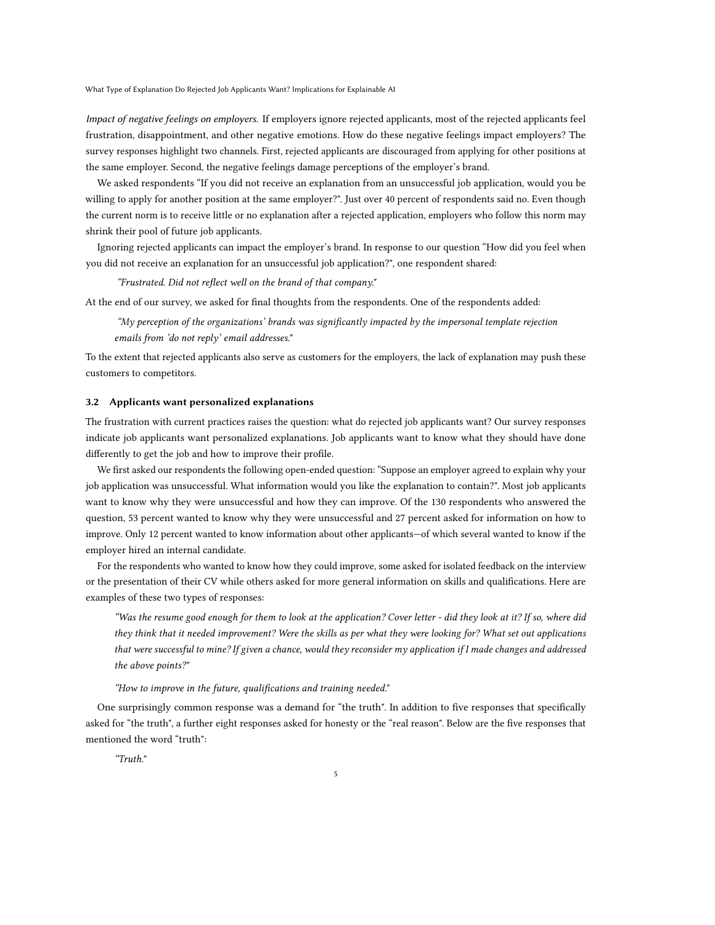Impact of negative feelings on employers. If employers ignore rejected applicants, most of the rejected applicants feel frustration, disappointment, and other negative emotions. How do these negative feelings impact employers? The survey responses highlight two channels. First, rejected applicants are discouraged from applying for other positions at the same employer. Second, the negative feelings damage perceptions of the employer's brand.

We asked respondents "If you did not receive an explanation from an unsuccessful job application, would you be willing to apply for another position at the same employer?". Just over 40 percent of respondents said no. Even though the current norm is to receive little or no explanation after a rejected application, employers who follow this norm may shrink their pool of future job applicants.

Ignoring rejected applicants can impact the employer's brand. In response to our question "How did you feel when you did not receive an explanation for an unsuccessful job application?", one respondent shared:

"Frustrated. Did not reflect well on the brand of that company."

At the end of our survey, we asked for final thoughts from the respondents. One of the respondents added:

"My perception of the organizations' brands was significantly impacted by the impersonal template rejection emails from 'do not reply' email addresses."

To the extent that rejected applicants also serve as customers for the employers, the lack of explanation may push these customers to competitors.

### 3.2 Applicants want personalized explanations

The frustration with current practices raises the question: what do rejected job applicants want? Our survey responses indicate job applicants want personalized explanations. Job applicants want to know what they should have done differently to get the job and how to improve their profile.

We first asked our respondents the following open-ended question: "Suppose an employer agreed to explain why your job application was unsuccessful. What information would you like the explanation to contain?". Most job applicants want to know why they were unsuccessful and how they can improve. Of the 130 respondents who answered the question, 53 percent wanted to know why they were unsuccessful and 27 percent asked for information on how to improve. Only 12 percent wanted to know information about other applicants—of which several wanted to know if the employer hired an internal candidate.

For the respondents who wanted to know how they could improve, some asked for isolated feedback on the interview or the presentation of their CV while others asked for more general information on skills and qualifications. Here are examples of these two types of responses:

"Was the resume good enough for them to look at the application? Cover letter - did they look at it? If so, where did they think that it needed improvement? Were the skills as per what they were looking for? What set out applications that were successful to mine? If given a chance, would they reconsider my application if I made changes and addressed the above points?"

"How to improve in the future, qualifications and training needed."

One surprisingly common response was a demand for "the truth". In addition to five responses that specifically asked for "the truth", a further eight responses asked for honesty or the "real reason". Below are the five responses that mentioned the word "truth":

"Truth."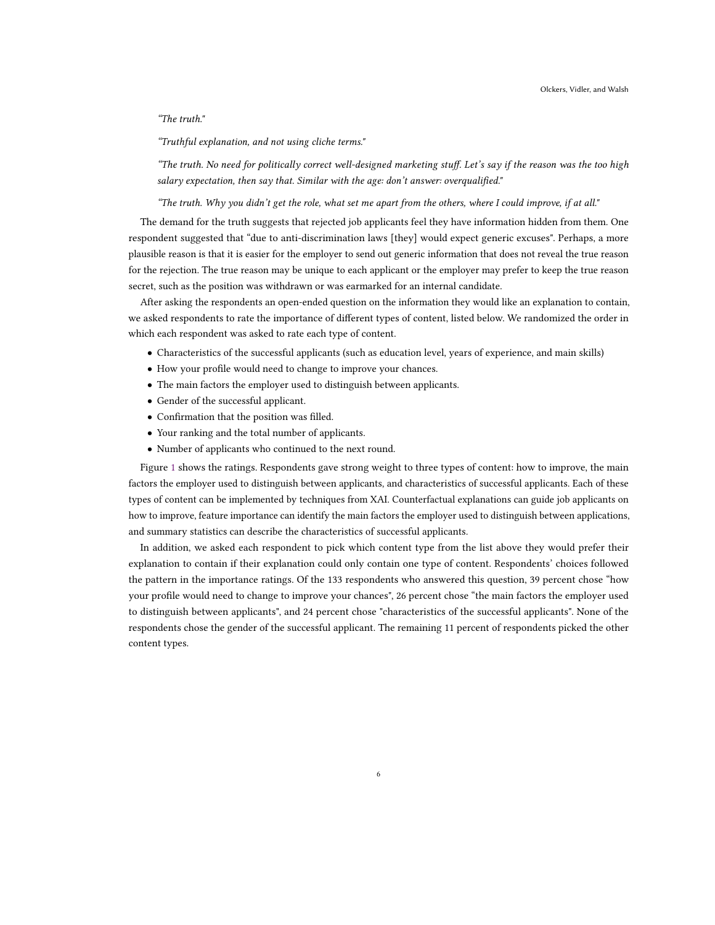# "The truth."

"Truthful explanation, and not using cliche terms."

"The truth. No need for politically correct well-designed marketing stuff. Let's say if the reason was the too high salary expectation, then say that. Similar with the age: don't answer: overqualified."

"The truth. Why you didn't get the role, what set me apart from the others, where I could improve, if at all."

The demand for the truth suggests that rejected job applicants feel they have information hidden from them. One respondent suggested that "due to anti-discrimination laws [they] would expect generic excuses". Perhaps, a more plausible reason is that it is easier for the employer to send out generic information that does not reveal the true reason for the rejection. The true reason may be unique to each applicant or the employer may prefer to keep the true reason secret, such as the position was withdrawn or was earmarked for an internal candidate.

After asking the respondents an open-ended question on the information they would like an explanation to contain, we asked respondents to rate the importance of different types of content, listed below. We randomized the order in which each respondent was asked to rate each type of content.

- Characteristics of the successful applicants (such as education level, years of experience, and main skills)
- How your profile would need to change to improve your chances.
- The main factors the employer used to distinguish between applicants.
- Gender of the successful applicant.
- Confirmation that the position was filled.
- Your ranking and the total number of applicants.
- Number of applicants who continued to the next round.

Figure [1](#page-6-0) shows the ratings. Respondents gave strong weight to three types of content: how to improve, the main factors the employer used to distinguish between applicants, and characteristics of successful applicants. Each of these types of content can be implemented by techniques from XAI. Counterfactual explanations can guide job applicants on how to improve, feature importance can identify the main factors the employer used to distinguish between applications, and summary statistics can describe the characteristics of successful applicants.

In addition, we asked each respondent to pick which content type from the list above they would prefer their explanation to contain if their explanation could only contain one type of content. Respondents' choices followed the pattern in the importance ratings. Of the 133 respondents who answered this question, 39 percent chose "how your profile would need to change to improve your chances", 26 percent chose "the main factors the employer used to distinguish between applicants", and 24 percent chose "characteristics of the successful applicants". None of the respondents chose the gender of the successful applicant. The remaining 11 percent of respondents picked the other content types.

6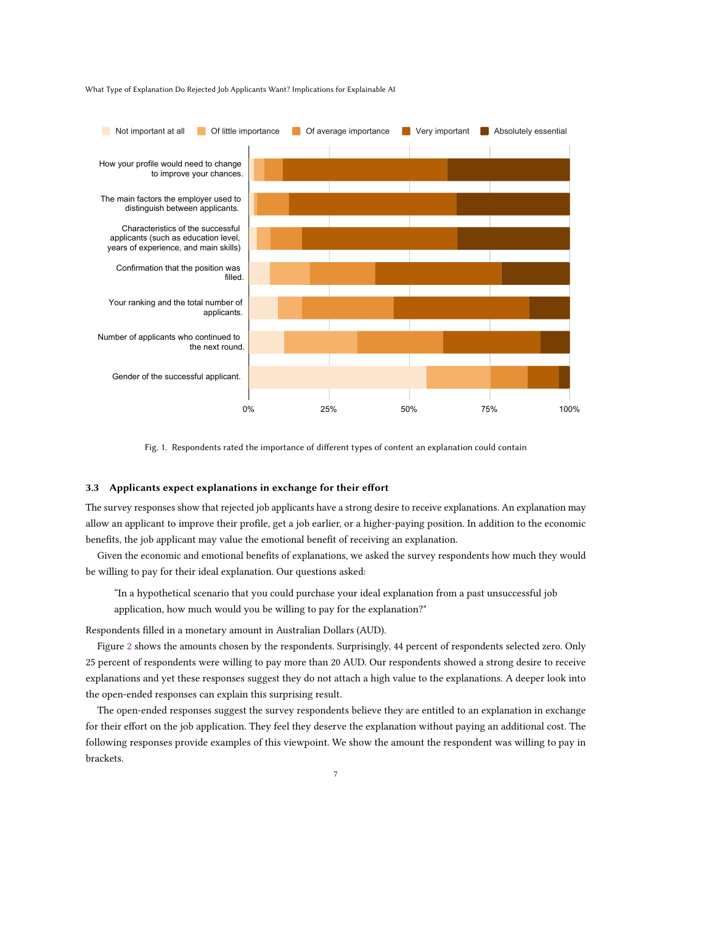<span id="page-6-0"></span>

Fig. 1. Respondents rated the importance of different types of content an explanation could contain

# 3.3 Applicants expect explanations in exchange for their effort

The survey responses show that rejected job applicants have a strong desire to receive explanations. An explanation may allow an applicant to improve their profile, get a job earlier, or a higher-paying position. In addition to the economic benefits, the job applicant may value the emotional benefit of receiving an explanation.

Given the economic and emotional benefits of explanations, we asked the survey respondents how much they would be willing to pay for their ideal explanation. Our questions asked:

"In a hypothetical scenario that you could purchase your ideal explanation from a past unsuccessful job application, how much would you be willing to pay for the explanation?"

Respondents filled in a monetary amount in Australian Dollars (AUD).

Figure [2](#page-7-0) shows the amounts chosen by the respondents. Surprisingly, 44 percent of respondents selected zero. Only 25 percent of respondents were willing to pay more than 20 AUD. Our respondents showed a strong desire to receive explanations and yet these responses suggest they do not attach a high value to the explanations. A deeper look into the open-ended responses can explain this surprising result.

The open-ended responses suggest the survey respondents believe they are entitled to an explanation in exchange for their effort on the job application. They feel they deserve the explanation without paying an additional cost. The following responses provide examples of this viewpoint. We show the amount the respondent was willing to pay in brackets.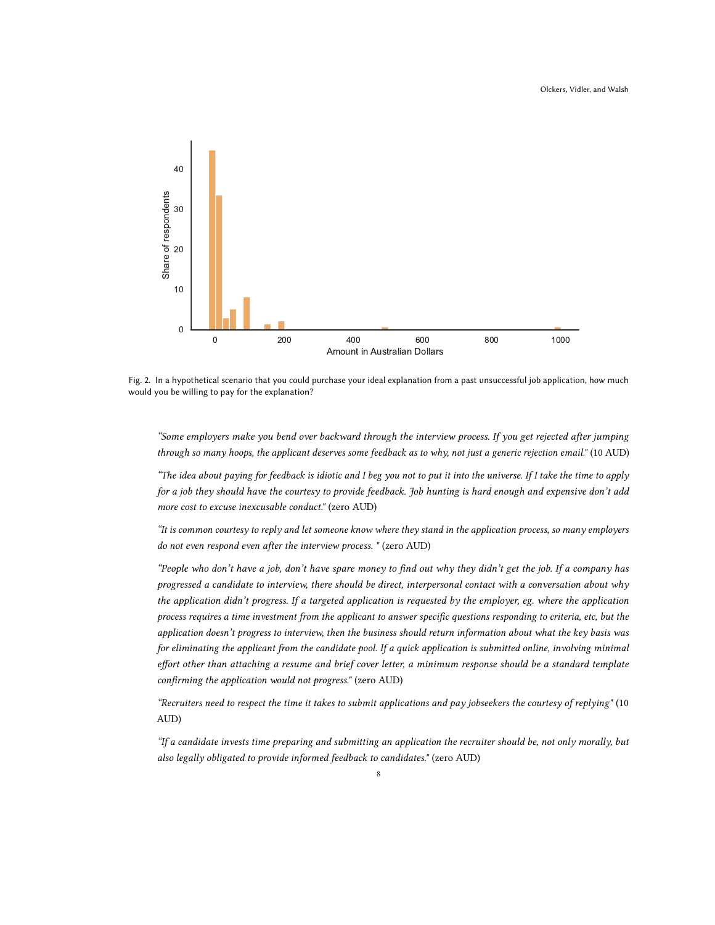<span id="page-7-0"></span>

Fig. 2. In a hypothetical scenario that you could purchase your ideal explanation from a past unsuccessful job application, how much would you be willing to pay for the explanation?

"Some employers make you bend over backward through the interview process. If you get rejected after jumping through so many hoops, the applicant deserves some feedback as to why, not just a generic rejection email." (10 AUD)

"The idea about paying for feedback is idiotic and I beg you not to put it into the universe. If I take the time to apply for a job they should have the courtesy to provide feedback. Job hunting is hard enough and expensive don't add more cost to excuse inexcusable conduct." (zero AUD)

"It is common courtesy to reply and let someone know where they stand in the application process, so many employers do not even respond even after the interview process. " (zero AUD)

"People who don't have a job, don't have spare money to find out why they didn't get the job. If a company has progressed a candidate to interview, there should be direct, interpersonal contact with a conversation about why the application didn't progress. If a targeted application is requested by the employer, eg. where the application process requires a time investment from the applicant to answer specific questions responding to criteria, etc, but the application doesn't progress to interview, then the business should return information about what the key basis was for eliminating the applicant from the candidate pool. If a quick application is submitted online, involving minimal effort other than attaching a resume and brief cover letter, a minimum response should be a standard template confirming the application would not progress." (zero AUD)

"Recruiters need to respect the time it takes to submit applications and pay jobseekers the courtesy of replying" (10 AUD)

"If a candidate invests time preparing and submitting an application the recruiter should be, not only morally, but also legally obligated to provide informed feedback to candidates." (zero AUD)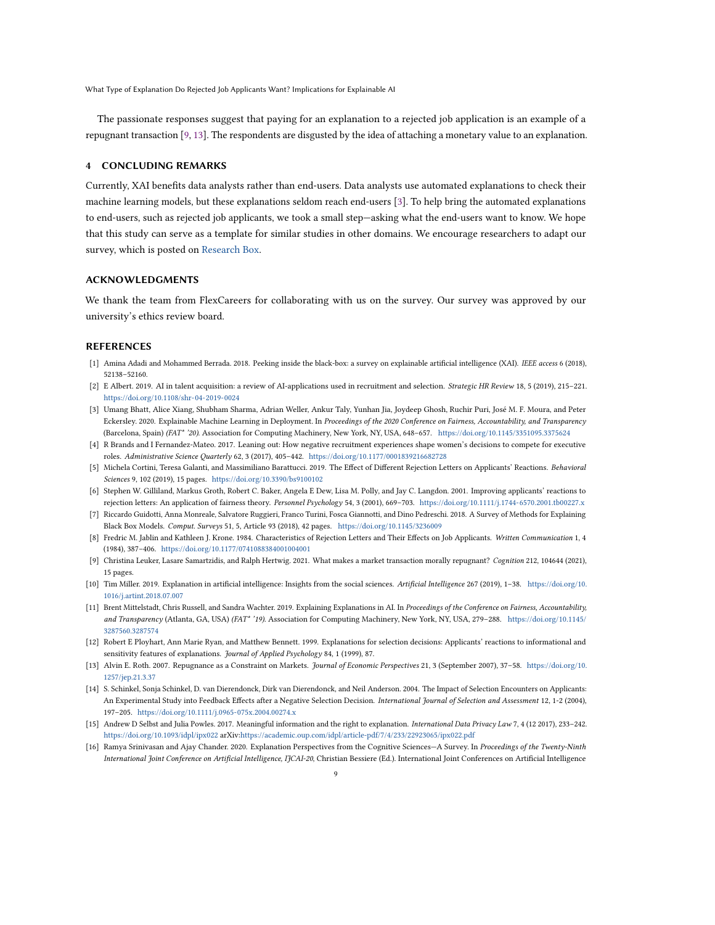The passionate responses suggest that paying for an explanation to a rejected job application is an example of a repugnant transaction [\[9,](#page-8-12) [13\]](#page-8-13). The respondents are disgusted by the idea of attaching a monetary value to an explanation.

### 4 CONCLUDING REMARKS

Currently, XAI benefits data analysts rather than end-users. Data analysts use automated explanations to check their machine learning models, but these explanations seldom reach end-users [\[3\]](#page-8-15). To help bring the automated explanations to end-users, such as rejected job applicants, we took a small step—asking what the end-users want to know. We hope that this study can serve as a template for similar studies in other domains. We encourage researchers to adapt our survey, which is posted on [Research Box.](https://researchbox.org/)

#### ACKNOWLEDGMENTS

We thank the team from FlexCareers for collaborating with us on the survey. Our survey was approved by our university's ethics review board.

# REFERENCES

- <span id="page-8-0"></span>[1] Amina Adadi and Mohammed Berrada. 2018. Peeking inside the black-box: a survey on explainable artificial intelligence (XAI). IEEE access 6 (2018), 52138–52160.
- <span id="page-8-5"></span>[2] E Albert. 2019. AI in talent acquisition: a review of AI-applications used in recruitment and selection. Strategic HR Review 18, 5 (2019), 215–221. <https://doi.org/10.1108/shr-04-2019-0024>
- <span id="page-8-15"></span>[3] Umang Bhatt, Alice Xiang, Shubham Sharma, Adrian Weller, Ankur Taly, Yunhan Jia, Joydeep Ghosh, Ruchir Puri, José M. F. Moura, and Peter Eckersley. 2020. Explainable Machine Learning in Deployment. In Proceedings of the 2020 Conference on Fairness, Accountability, and Transparency (Barcelona, Spain) (FAT\* '20). Association for Computing Machinery, New York, NY, USA, 648–657. <https://doi.org/10.1145/3351095.3375624>
- <span id="page-8-10"></span>[4] R Brands and I Fernandez-Mateo. 2017. Leaning out: How negative recruitment experiences shape women's decisions to compete for executive roles. Administrative Science Quarterly 62, 3 (2017), 405–442. <https://doi.org/10.1177/0001839216682728>
- <span id="page-8-9"></span>[5] Michela Cortini, Teresa Galanti, and Massimiliano Barattucci. 2019. The Effect of Different Rejection Letters on Applicants' Reactions. Behavioral Sciences 9, 102 (2019), 15 pages. <https://doi.org/10.3390/bs9100102>
- <span id="page-8-6"></span>[6] Stephen W. Gilliland, Markus Groth, Robert C. Baker, Angela E Dew, Lisa M. Polly, and Jay C. Langdon. 2001. Improving applicants' reactions to rejection letters: An application of fairness theory. Personnel Psychology 54, 3 (2001), 669–703. <https://doi.org/10.1111/j.1744-6570.2001.tb00227.x>
- <span id="page-8-1"></span>[7] Riccardo Guidotti, Anna Monreale, Salvatore Ruggieri, Franco Turini, Fosca Giannotti, and Dino Pedreschi. 2018. A Survey of Methods for Explaining Black Box Models. Comput. Surveys 51, 5, Article 93 (2018), 42 pages. <https://doi.org/10.1145/3236009>
- <span id="page-8-14"></span>[8] Fredric M. Jablin and Kathleen J. Krone. 1984. Characteristics of Rejection Letters and Their Effects on Job Applicants. Written Communication 1, 4 (1984), 387–406. <https://doi.org/10.1177/0741088384001004001>
- <span id="page-8-12"></span>[9] Christina Leuker, Lasare Samartzidis, and Ralph Hertwig. 2021. What makes a market transaction morally repugnant? Cognition 212, 104644 (2021), 15 pages.
- <span id="page-8-2"></span>[10] Tim Miller. 2019. Explanation in artificial intelligence: Insights from the social sciences. Artificial Intelligence 267 (2019), 1–38. [https://doi.org/10.](https://doi.org/10.1016/j.artint.2018.07.007) [1016/j.artint.2018.07.007](https://doi.org/10.1016/j.artint.2018.07.007)
- <span id="page-8-3"></span>[11] Brent Mittelstadt, Chris Russell, and Sandra Wachter. 2019. Explaining Explanations in AI. In Proceedings of the Conference on Fairness, Accountability, and Transparency (Atlanta, GA, USA) (FAT\* '19). Association for Computing Machinery, New York, NY, USA, 279–288. [https://doi.org/10.1145/](https://doi.org/10.1145/3287560.3287574) [3287560.3287574](https://doi.org/10.1145/3287560.3287574)
- <span id="page-8-7"></span>[12] Robert E Ployhart, Ann Marie Ryan, and Matthew Bennett. 1999. Explanations for selection decisions: Applicants' reactions to informational and sensitivity features of explanations. Journal of Applied Psychology 84, 1 (1999), 87.
- <span id="page-8-13"></span>[13] Alvin E. Roth. 2007. Repugnance as a Constraint on Markets. Journal of Economic Perspectives 21, 3 (September 2007), 37–58. [https://doi.org/10.](https://doi.org/10.1257/jep.21.3.37) [1257/jep.21.3.37](https://doi.org/10.1257/jep.21.3.37)
- <span id="page-8-8"></span>[14] S. Schinkel, Sonja Schinkel, D. van Dierendonck, Dirk van Dierendonck, and Neil Anderson. 2004. The Impact of Selection Encounters on Applicants: An Experimental Study into Feedback Effects after a Negative Selection Decision. International Journal of Selection and Assessment 12, 1-2 (2004), 197–205. <https://doi.org/10.1111/j.0965-075x.2004.00274.x>
- <span id="page-8-11"></span>[15] Andrew D Selbst and Julia Powles. 2017. Meaningful information and the right to explanation. International Data Privacy Law 7, 4 (12 2017), 233–242. <https://doi.org/10.1093/idpl/ipx022> arXiv[:https://academic.oup.com/idpl/article-pdf/7/4/233/22923065/ipx022.pdf](https://arxiv.org/abs/https://academic.oup.com/idpl/article-pdf/7/4/233/22923065/ipx022.pdf)
- <span id="page-8-4"></span>[16] Ramya Srinivasan and Ajay Chander. 2020. Explanation Perspectives from the Cognitive Sciences—A Survey. In Proceedings of the Twenty-Ninth International Joint Conference on Artificial Intelligence, IJCAI-20, Christian Bessiere (Ed.). International Joint Conferences on Artificial Intelligence